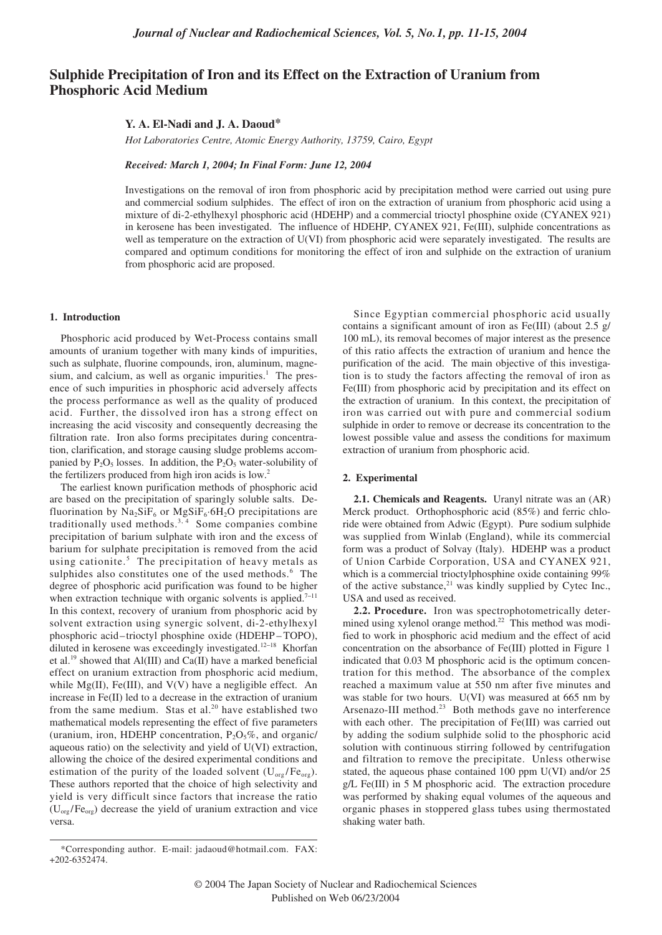# **Sulphide Precipitation of Iron and its Effect on the Extraction of Uranium from Phosphoric Acid Medium**

## **Y. A. El-Nadi and J. A. Daoud\***

*Hot Laboratories Centre, Atomic Energy Authority, 13759, Cairo, Egypt*

*Received: March 1, 2004; In Final Form: June 12, 2004*

Investigations on the removal of iron from phosphoric acid by precipitation method were carried out using pure and commercial sodium sulphides. The effect of iron on the extraction of uranium from phosphoric acid using a mixture of di-2-ethylhexyl phosphoric acid (HDEHP) and a commercial trioctyl phosphine oxide (CYANEX 921) in kerosene has been investigated. The influence of HDEHP, CYANEX 921, Fe(III), sulphide concentrations as well as temperature on the extraction of U(VI) from phosphoric acid were separately investigated. The results are compared and optimum conditions for monitoring the effect of iron and sulphide on the extraction of uranium from phosphoric acid are proposed.

### **1. Introduction**

Phosphoric acid produced by Wet-Process contains small amounts of uranium together with many kinds of impurities, such as sulphate, fluorine compounds, iron, aluminum, magnesium, and calcium, as well as organic impurities. $<sup>1</sup>$  The pres-</sup> ence of such impurities in phosphoric acid adversely affects the process performance as well as the quality of produced acid. Further, the dissolved iron has a strong effect on increasing the acid viscosity and consequently decreasing the filtration rate. Iron also forms precipitates during concentration, clarification, and storage causing sludge problems accompanied by  $P_2O_5$  losses. In addition, the  $P_2O_5$  water-solubility of the fertilizers produced from high iron acids is low.<sup>2</sup>

The earliest known purification methods of phosphoric acid are based on the precipitation of sparingly soluble salts. Defluorination by  $\overline{Na_2SiF_6}$  or  $MgSiF_6·6H_2O$  precipitations are traditionally used methods.<sup>3, 4</sup> Some companies combine precipitation of barium sulphate with iron and the excess of barium for sulphate precipitation is removed from the acid using cationite.<sup>5</sup> The precipitation of heavy metals as sulphides also constitutes one of the used methods.<sup>6</sup> The degree of phosphoric acid purification was found to be higher when extraction technique with organic solvents is applied.<sup>7-11</sup> In this context, recovery of uranium from phosphoric acid by solvent extraction using synergic solvent, di-2-ethylhexyl phosphoric acid–trioctyl phosphine oxide (HDEHP – TOPO), diluted in kerosene was exceedingly investigated.12<sup>−</sup><sup>18</sup> Khorfan et al.<sup>19</sup> showed that Al(III) and Ca(II) have a marked beneficial effect on uranium extraction from phosphoric acid medium, while  $Mg(II)$ , Fe(III), and V(V) have a negligible effect. An increase in Fe(II) led to a decrease in the extraction of uranium from the same medium. Stas et al. $20$  have established two mathematical models representing the effect of five parameters (uranium, iron, HDEHP concentration,  $P_2O_5\%$ , and organic/ aqueous ratio) on the selectivity and yield of U(VI) extraction, allowing the choice of the desired experimental conditions and estimation of the purity of the loaded solvent  $(U_{org}/Fe_{org})$ . These authors reported that the choice of high selectivity and yield is very difficult since factors that increase the ratio  $(U_{org}/Fe_{org})$  decrease the yield of uranium extraction and vice versa.

Since Egyptian commercial phosphoric acid usually contains a significant amount of iron as Fe(III) (about 2.5 g/ 100 mL), its removal becomes of major interest as the presence of this ratio affects the extraction of uranium and hence the purification of the acid. The main objective of this investigation is to study the factors affecting the removal of iron as Fe(III) from phosphoric acid by precipitation and its effect on the extraction of uranium. In this context, the precipitation of iron was carried out with pure and commercial sodium sulphide in order to remove or decrease its concentration to the lowest possible value and assess the conditions for maximum extraction of uranium from phosphoric acid.

#### **2. Experimental**

**2.1. Chemicals and Reagents.** Uranyl nitrate was an (AR) Merck product. Orthophosphoric acid (85%) and ferric chloride were obtained from Adwic (Egypt). Pure sodium sulphide was supplied from Winlab (England), while its commercial form was a product of Solvay (Italy). HDEHP was a product of Union Carbide Corporation, USA and CYANEX 921, which is a commercial trioctylphosphine oxide containing 99% of the active substance, $^{21}$  was kindly supplied by Cytec Inc., USA and used as received.

**2.2. Procedure.** Iron was spectrophotometrically determined using xylenol orange method.<sup>22</sup> This method was modified to work in phosphoric acid medium and the effect of acid concentration on the absorbance of Fe(III) plotted in Figure 1 indicated that 0.03 M phosphoric acid is the optimum concentration for this method. The absorbance of the complex reached a maximum value at 550 nm after five minutes and was stable for two hours. U(VI) was measured at 665 nm by Arsenazo-III method.<sup>23</sup> Both methods gave no interference with each other. The precipitation of Fe(III) was carried out by adding the sodium sulphide solid to the phosphoric acid solution with continuous stirring followed by centrifugation and filtration to remove the precipitate. Unless otherwise stated, the aqueous phase contained 100 ppm U(VI) and/or 25 g/L Fe(III) in 5 M phosphoric acid. The extraction procedure was performed by shaking equal volumes of the aqueous and organic phases in stoppered glass tubes using thermostated shaking water bath.

<sup>\*</sup>Corresponding author. E-mail: jadaoud@hotmail.com. FAX: +202-6352474.

<sup>© 2004</sup> The Japan Society of Nuclear and Radiochemical Sciences Published on Web 06/23/2004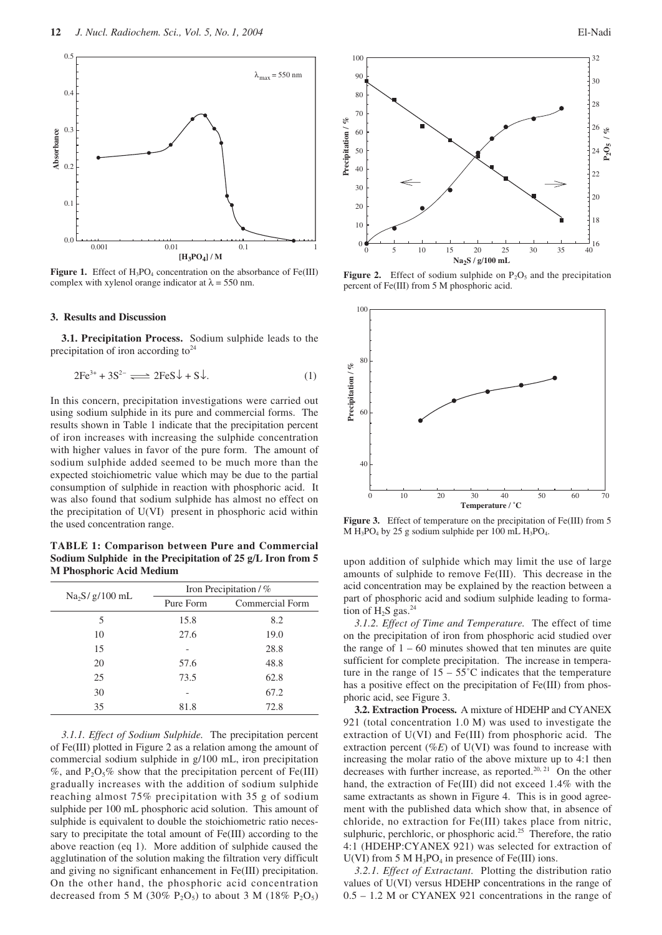

**Figure 1.** Effect of  $H_3PO_4$  concentration on the absorbance of Fe(III) complex with xylenol orange indicator at  $\lambda = 550$  nm.

## **3. Results and Discussion**

**3.1. Precipitation Process.** Sodium sulphide leads to the precipitation of iron according to  $2^4$ 

$$
2\text{Fe}^{3+} + 3\text{S}^{2-} \Longrightarrow 2\text{FeS}\downarrow + \text{S}\downarrow. \tag{1}
$$

In this concern, precipitation investigations were carried out using sodium sulphide in its pure and commercial forms. The results shown in Table 1 indicate that the precipitation percent of iron increases with increasing the sulphide concentration with higher values in favor of the pure form. The amount of sodium sulphide added seemed to be much more than the expected stoichiometric value which may be due to the partial consumption of sulphide in reaction with phosphoric acid. It was also found that sodium sulphide has almost no effect on the precipitation of U(VI) present in phosphoric acid within the used concentration range.

**TABLE 1: Comparison between Pure and Commercial Sodium Sulphide in the Precipitation of 25 g/L Iron from 5 M Phosphoric Acid Medium**

| $Na2S/g/100$ mL | Iron Precipitation / % |                 |
|-----------------|------------------------|-----------------|
|                 | Pure Form              | Commercial Form |
| 5               | 15.8                   | 8.2             |
| 10              | 27.6                   | 19.0            |
| 15              |                        | 28.8            |
| 20              | 57.6                   | 48.8            |
| 25              | 73.5                   | 62.8            |
| 30              |                        | 67.2            |
| 35              | 81.8                   | 72.8            |

*3.1.1. Effect of Sodium Sulphide.* The precipitation percent of Fe(III) plotted in Figure 2 as a relation among the amount of commercial sodium sulphide in g/100 mL, iron precipitation %, and  $P_2O_5\%$  show that the precipitation percent of Fe(III) gradually increases with the addition of sodium sulphide reaching almost 75% precipitation with 35 g of sodium sulphide per 100 mL phosphoric acid solution. This amount of sulphide is equivalent to double the stoichiometric ratio necessary to precipitate the total amount of Fe(III) according to the above reaction (eq 1). More addition of sulphide caused the agglutination of the solution making the filtration very difficult and giving no significant enhancement in Fe(III) precipitation. On the other hand, the phosphoric acid concentration decreased from 5 M (30% P<sub>2</sub>O<sub>5</sub>) to about 3 M (18% P<sub>2</sub>O<sub>5</sub>)



**Figure 2.** Effect of sodium sulphide on  $P_2O_5$  and the precipitation percent of Fe(III) from 5 M phosphoric acid.



Figure 3. Effect of temperature on the precipitation of Fe(III) from 5  $M H_3PO_4$  by 25 g sodium sulphide per 100 mL  $H_3PO_4$ .

upon addition of sulphide which may limit the use of large amounts of sulphide to remove Fe(III). This decrease in the acid concentration may be explained by the reaction between a part of phosphoric acid and sodium sulphide leading to formation of  $H_2S$  gas.<sup>24</sup>

*3.1.2. Effect of Time and Temperature.* The effect of time on the precipitation of iron from phosphoric acid studied over the range of  $1 - 60$  minutes showed that ten minutes are quite sufficient for complete precipitation. The increase in temperature in the range of  $15 - 55^{\circ}$ C indicates that the temperature has a positive effect on the precipitation of Fe(III) from phosphoric acid, see Figure 3.

**3.2. Extraction Process.** A mixture of HDEHP and CYANEX 921 (total concentration 1.0 M) was used to investigate the extraction of U(VI) and Fe(III) from phosphoric acid. The extraction percent (%*E*) of U(VI) was found to increase with increasing the molar ratio of the above mixture up to 4:1 then decreases with further increase, as reported.<sup>20, 21</sup> On the other hand, the extraction of Fe(III) did not exceed 1.4% with the same extractants as shown in Figure 4. This is in good agreement with the published data which show that, in absence of chloride, no extraction for Fe(III) takes place from nitric, sulphuric, perchloric, or phosphoric acid.<sup>25</sup> Therefore, the ratio 4:1 (HDEHP:CYANEX 921) was selected for extraction of U(VI) from 5 M  $H_3PO_4$  in presence of Fe(III) ions.

*3.2.1. Effect of Extractant.* Plotting the distribution ratio values of U(VI) versus HDEHP concentrations in the range of 0.5 – 1.2 M or CYANEX 921 concentrations in the range of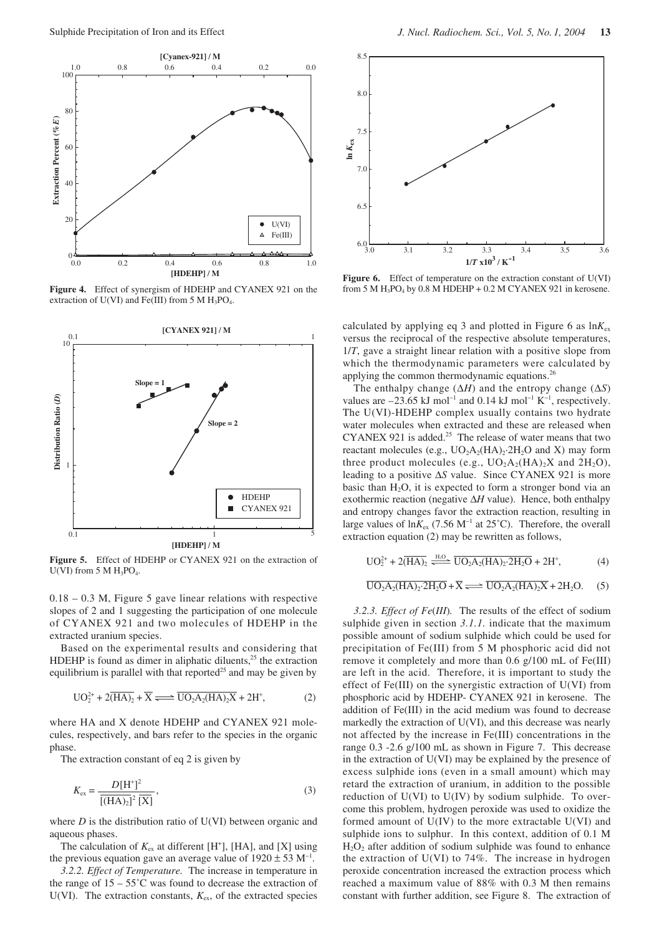

**Figure 4.** Effect of synergism of HDEHP and CYANEX 921 on the extraction of U(VI) and Fe(III) from 5 M  $H_3PO_4$ .



**Figure 5.** Effect of HDEHP or CYANEX 921 on the extraction of  $U(VI)$  from 5 M  $H_3PO_4$ .

0.18 – 0.3 M, Figure 5 gave linear relations with respective slopes of 2 and 1 suggesting the participation of one molecule of CYANEX 921 and two molecules of HDEHP in the extracted uranium species.

Based on the experimental results and considering that HDEHP is found as dimer in aliphatic diluents, $2<sup>5</sup>$  the extraction equilibrium is parallel with that reported<sup>25</sup> and may be given by

$$
UO_2^{2+} + 2(\overline{HA})_2 + \overline{X} \Longrightarrow \overline{UO_2A_2(HA)_2X} + 2H^*,
$$
 (2)

where HA and X denote HDEHP and CYANEX 921 molecules, respectively, and bars refer to the species in the organic phase.

The extraction constant of eq 2 is given by

$$
K_{\text{ex}} = \frac{D[H^+]^2}{\overline{[(HA)_2]^2} \overline{[X]}},\tag{3}
$$

where *D* is the distribution ratio of U(VI) between organic and aqueous phases.

The calculation of  $K_{\text{ex}}$  at different [H<sup>+</sup>], [HA], and [X] using the previous equation gave an average value of  $1920 \pm 53$  M<sup>-1</sup>.

*3.2.2. Effect of Temperature.* The increase in temperature in the range of  $15 - 55^{\circ}$ C was found to decrease the extraction of U(VI). The extraction constants,  $K_{ex}$ , of the extracted species



Figure 6. Effect of temperature on the extraction constant of U(VI) from 5 M  $H_3PO_4$  by 0.8 M HDEHP + 0.2 M CYANEX 921 in kerosene.

calculated by applying eq 3 and plotted in Figure 6 as  $\ln K_{\rm ex}$ versus the reciprocal of the respective absolute temperatures, 1/*T*, gave a straight linear relation with a positive slope from which the thermodynamic parameters were calculated by applying the common thermodynamic equations.<sup>26</sup>

The enthalpy change (∆*H*) and the entropy change (∆*S*) values are  $-23.65$  kJ mol<sup>-1</sup> and 0.14 kJ mol<sup>-1</sup> K<sup>-1</sup>, respectively. The U(VI)-HDEHP complex usually contains two hydrate water molecules when extracted and these are released when CYANEX 921 is added.<sup>25</sup> The release of water means that two reactant molecules (e.g.,  $UO<sub>2</sub>A<sub>2</sub>(HA)<sub>2</sub>·2H<sub>2</sub>O$  and X) may form three product molecules (e.g.,  $UO<sub>2</sub>A<sub>2</sub>(HA)<sub>2</sub>X$  and  $2H<sub>2</sub>O$ ), leading to a positive ∆*S* value. Since CYANEX 921 is more basic than  $H_2O$ , it is expected to form a stronger bond via an exothermic reaction (negative ∆*H* value). Hence, both enthalpy and entropy changes favor the extraction reaction, resulting in large values of ln*K*ex (7.56 M<sup>−</sup><sup>1</sup> at 25˚C). Therefore, the overall extraction equation (2) may be rewritten as follows,

$$
UO_2^{2+} + 2(\overline{HA})_2 \xrightarrow{H_2O} \overline{UO_2A_2(HA)_2 \cdot 2H_2O} + 2H^+, \tag{4}
$$

$$
\overline{\text{UO}_2\text{A}_2(\text{HA})_2 \cdot 2\text{H}_2\text{O}} + \overline{\text{X}} \Longrightarrow \overline{\text{UO}_2\text{A}_2(\text{HA})_2\text{X}} + 2\text{H}_2\text{O}. \quad (5)
$$

*3.2.3. Effect of Fe*(*III*)*.* The results of the effect of sodium sulphide given in section *3.1.1.* indicate that the maximum possible amount of sodium sulphide which could be used for precipitation of Fe(III) from 5 M phosphoric acid did not remove it completely and more than 0.6 g/100 mL of Fe(III) are left in the acid. Therefore, it is important to study the effect of Fe(III) on the synergistic extraction of U(VI) from phosphoric acid by HDEHP- CYANEX 921 in kerosene. The addition of Fe(III) in the acid medium was found to decrease markedly the extraction of U(VI), and this decrease was nearly not affected by the increase in Fe(III) concentrations in the range 0.3 -2.6 g/100 mL as shown in Figure 7. This decrease in the extraction of U(VI) may be explained by the presence of excess sulphide ions (even in a small amount) which may retard the extraction of uranium, in addition to the possible reduction of U(VI) to U(IV) by sodium sulphide. To overcome this problem, hydrogen peroxide was used to oxidize the formed amount of  $U(IV)$  to the more extractable  $U(VI)$  and sulphide ions to sulphur. In this context, addition of 0.1 M  $H_2O_2$  after addition of sodium sulphide was found to enhance the extraction of  $U(VI)$  to 74%. The increase in hydrogen peroxide concentration increased the extraction process which reached a maximum value of 88% with 0.3 M then remains constant with further addition, see Figure 8. The extraction of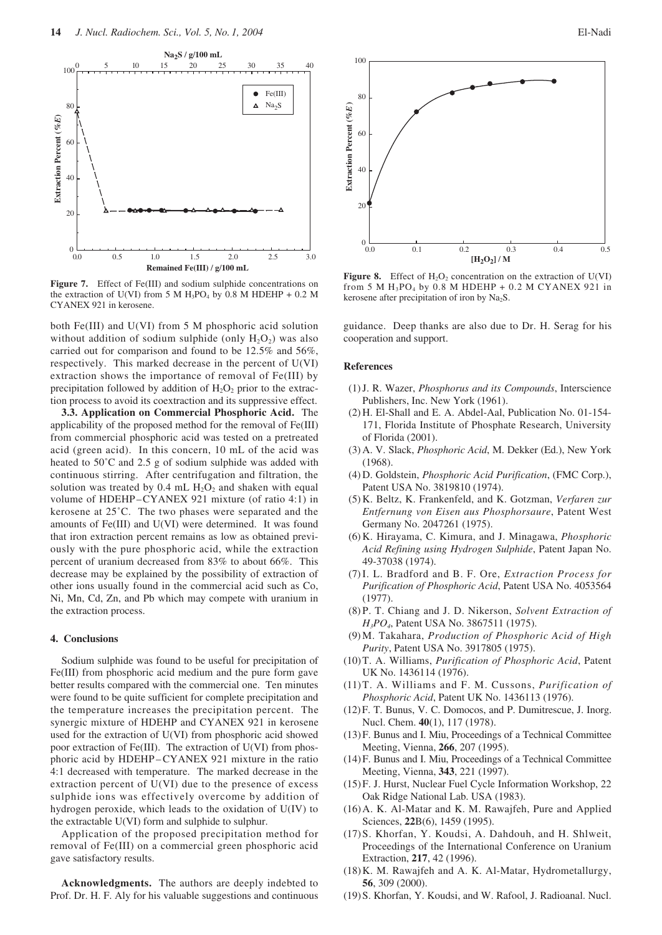

Figure 7. Effect of Fe(III) and sodium sulphide concentrations on the extraction of U(VI) from 5 M  $H_3PO_4$  by 0.8 M HDEHP + 0.2 M CYANEX 921 in kerosene.

both Fe(III) and U(VI) from 5 M phosphoric acid solution without addition of sodium sulphide (only  $H_2O_2$ ) was also carried out for comparison and found to be 12.5% and 56%, respectively. This marked decrease in the percent of U(VI) extraction shows the importance of removal of Fe(III) by precipitation followed by addition of  $H_2O_2$  prior to the extraction process to avoid its coextraction and its suppressive effect.

**3.3. Application on Commercial Phosphoric Acid.** The applicability of the proposed method for the removal of Fe(III) from commercial phosphoric acid was tested on a pretreated acid (green acid). In this concern, 10 mL of the acid was heated to 50˚C and 2.5 g of sodium sulphide was added with continuous stirring. After centrifugation and filtration, the solution was treated by 0.4 mL  $H_2O_2$  and shaken with equal volume of HDEHP–CYANEX 921 mixture (of ratio 4:1) in kerosene at 25˚C. The two phases were separated and the amounts of Fe(III) and U(VI) were determined. It was found that iron extraction percent remains as low as obtained previously with the pure phosphoric acid, while the extraction percent of uranium decreased from 83% to about 66%. This decrease may be explained by the possibility of extraction of other ions usually found in the commercial acid such as Co, Ni, Mn, Cd, Zn, and Pb which may compete with uranium in the extraction process.

#### **4. Conclusions**

Sodium sulphide was found to be useful for precipitation of Fe(III) from phosphoric acid medium and the pure form gave better results compared with the commercial one. Ten minutes were found to be quite sufficient for complete precipitation and the temperature increases the precipitation percent. The synergic mixture of HDEHP and CYANEX 921 in kerosene used for the extraction of U(VI) from phosphoric acid showed poor extraction of Fe(III). The extraction of U(VI) from phosphoric acid by HDEHP –CYANEX 921 mixture in the ratio 4:1 decreased with temperature. The marked decrease in the extraction percent of U(VI) due to the presence of excess sulphide ions was effectively overcome by addition of hydrogen peroxide, which leads to the oxidation of U(IV) to the extractable U(VI) form and sulphide to sulphur.

Application of the proposed precipitation method for removal of Fe(III) on a commercial green phosphoric acid gave satisfactory results.

**Acknowledgments.** The authors are deeply indebted to Prof. Dr. H. F. Aly for his valuable suggestions and continuous



**Figure 8.** Effect of  $H_2O_2$  concentration on the extraction of  $U(VI)$ from 5 M  $H_3PO_4$  by 0.8 M HDEHP + 0.2 M CYANEX 921 in kerosene after precipitation of iron by  $Na<sub>2</sub>S$ .

guidance. Deep thanks are also due to Dr. H. Serag for his cooperation and support.

#### **References**

- (1) J. R. Wazer, *Phosphorus and its Compounds*, Interscience Publishers, Inc. New York (1961).
- (2) H. El-Shall and E. A. Abdel-Aal, Publication No. 01-154- 171, Florida Institute of Phosphate Research, University of Florida (2001).
- (3) A. V. Slack, *Phosphoric Acid*, M. Dekker (Ed.), New York (1968).
- (4) D. Goldstein, *Phosphoric Acid Purification*, (FMC Corp.), Patent USA No. 3819810 (1974).
- (5) K. Beltz, K. Frankenfeld, and K. Gotzman, *Verfaren zur Entfernung von Eisen aus Phosphorsaure*, Patent West Germany No. 2047261 (1975).
- (6) K. Hirayama, C. Kimura, and J. Minagawa, *Phosphoric Acid Refining using Hydrogen Sulphide*, Patent Japan No. 49-37038 (1974).
- (7) I. L. Bradford and B. F. Ore, *Extraction Process for Purification of Phosphoric Acid*, Patent USA No. 4053564 (1977).
- (8) P. T. Chiang and J. D. Nikerson, *Solvent Extraction of H3PO4*, Patent USA No. 3867511 (1975).
- (9) M. Takahara, *Production of Phosphoric Acid of High Purity*, Patent USA No. 3917805 (1975).
- (10)T. A. Williams, *Purification of Phosphoric Acid*, Patent UK No. 1436114 (1976).
- (11)T. A. Williams and F. M. Cussons, *Purification of Phosphoric Acid*, Patent UK No. 1436113 (1976).
- (12)F. T. Bunus, V. C. Domocos, and P. Dumitrescue, J. Inorg. Nucl. Chem. **40**(1), 117 (1978).
- (13)F. Bunus and I. Miu, Proceedings of a Technical Committee Meeting, Vienna, **266**, 207 (1995).
- (14)F. Bunus and I. Miu, Proceedings of a Technical Committee Meeting, Vienna, **343**, 221 (1997).
- (15)F. J. Hurst, Nuclear Fuel Cycle Information Workshop, 22 Oak Ridge National Lab. USA (1983).
- (16)A. K. Al-Matar and K. M. Rawajfeh, Pure and Applied Sciences, **22**B(6), 1459 (1995).
- (17)S. Khorfan, Y. Koudsi, A. Dahdouh, and H. Shlweit, Proceedings of the International Conference on Uranium Extraction, **217**, 42 (1996).
- (18)K. M. Rawajfeh and A. K. Al-Matar, Hydrometallurgy, **56**, 309 (2000).
- (19)S. Khorfan, Y. Koudsi, and W. Rafool, J. Radioanal. Nucl.